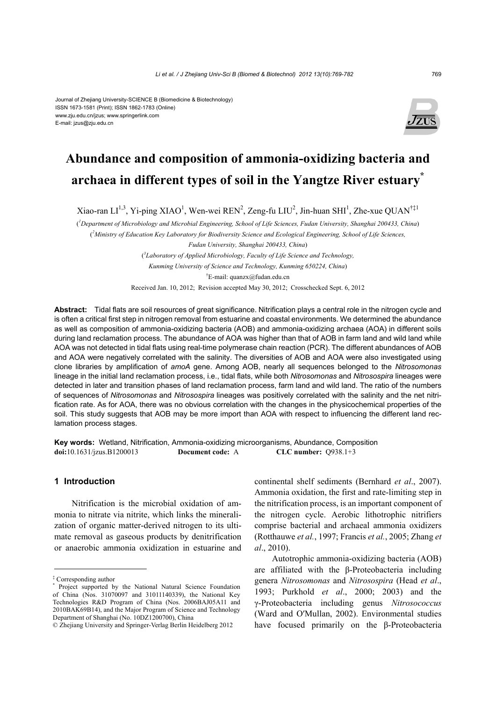#### Journal of Zhejiang University-SCIENCE B (Biomedicine & Biotechnology) ISSN 1673-1581 (Print); ISSN 1862-1783 (Online) www.zju.edu.cn/jzus; www.springerlink.com E-mail: jzus@zju.edu.cn



# **Abundance and composition of ammonia-oxidizing bacteria and archaea in different types of soil in the Yangtze River estuary\***

Xiao-ran LI<sup>1,3</sup>, Yi-ping XIAO<sup>1</sup>, Wen-wei REN<sup>2</sup>, Zeng-fu LIU<sup>2</sup>, Jin-huan SHI<sup>1</sup>, Zhe-xue QUAN<sup>†‡1</sup>

( *1 Department of Microbiology and Microbial Engineering, School of Life Sciences, Fudan University, Shanghai 200433, China*) ( *2 Ministry of Education Key Laboratory for Biodiversity Science and Ecological Engineering, School of Life Sciences,* 

*Fudan University, Shanghai 200433, China*)

( *3 Laboratory of Applied Microbiology, Faculty of Life Science and Technology,* 

*Kunming University of Science and Technology, Kunming 650224, China*)

† E-mail: quanzx@fudan.edu.cn

Received Jan. 10, 2012; Revision accepted May 30, 2012; Crosschecked Sept. 6, 2012

**Abstract:** Tidal flats are soil resources of great significance. Nitrification plays a central role in the nitrogen cycle and is often a critical first step in nitrogen removal from estuarine and coastal environments. We determined the abundance as well as composition of ammonia-oxidizing bacteria (AOB) and ammonia-oxidizing archaea (AOA) in different soils during land reclamation process. The abundance of AOA was higher than that of AOB in farm land and wild land while AOA was not detected in tidal flats using real-time polymerase chain reaction (PCR). The different abundances of AOB and AOA were negatively correlated with the salinity. The diversities of AOB and AOA were also investigated using clone libraries by amplification of *amoA* gene. Among AOB, nearly all sequences belonged to the *Nitrosomonas*  lineage in the initial land reclamation process, i.e., tidal flats, while both *Nitrosomonas* and *Nitrosospira* lineages were detected in later and transition phases of land reclamation process, farm land and wild land. The ratio of the numbers of sequences of *Nitrosomonas* and *Nitrosospira* lineages was positively correlated with the salinity and the net nitrification rate. As for AOA, there was no obvious correlation with the changes in the physicochemical properties of the soil. This study suggests that AOB may be more import than AOA with respect to influencing the different land reclamation process stages.

**Key words:** Wetland, Nitrification, Ammonia-oxidizing microorganisms, Abundance, Composition **doi:**10.1631/jzus.B1200013 **Document code:** A **CLC number:** Q938.1+3

## **1 Introduction**

Nitrification is the microbial oxidation of ammonia to nitrate via nitrite, which links the mineralization of organic matter-derived nitrogen to its ultimate removal as gaseous products by denitrification or anaerobic ammonia oxidization in estuarine and continental shelf sediments (Bernhard *et al*., 2007). Ammonia oxidation, the first and rate-limiting step in the nitrification process, is an important component of the nitrogen cycle. Aerobic lithotrophic nitrifiers comprise bacterial and archaeal ammonia oxidizers (Rotthauwe *et al.*, 1997; Francis *et al.*, 2005; Zhang *et al*., 2010).

Autotrophic ammonia-oxidizing bacteria (AOB) are affiliated with the β-Proteobacteria including genera *Nitrosomonas* and *Nitrosospira* (Head *et al*., 1993; Purkhold *et al*., 2000; 2003) and the γ-Proteobacteria including genus *Nitrosococcus* (Ward and O′Mullan, 2002). Environmental studies have focused primarily on the β-Proteobacteria

<sup>‡</sup> Corresponding author \* Project supported by the National Natural Science Foundation of China (Nos. 31070097 and 31011140339), the National Key Technologies R&D Program of China (Nos. 2006BAJ05A11 and 2010BAK69B14), and the Major Program of Science and Technology Department of Shanghai (No. 10DZ1200700), China

<sup>©</sup> Zhejiang University and Springer-Verlag Berlin Heidelberg 2012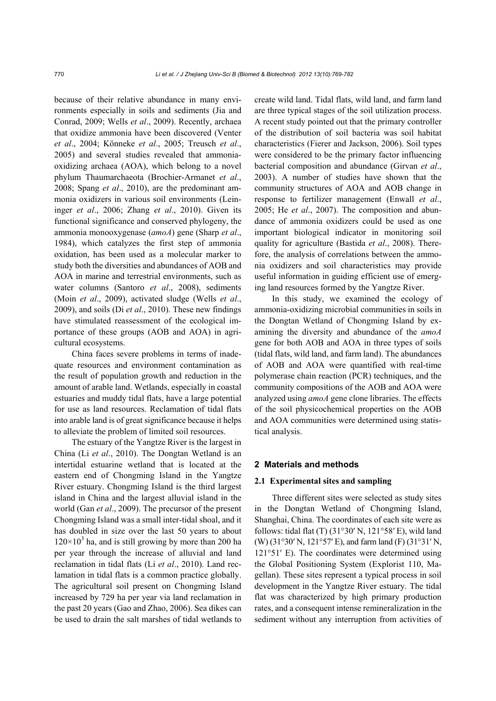because of their relative abundance in many environments especially in soils and sediments (Jia and Conrad, 2009; Wells *et al*., 2009). Recently, archaea that oxidize ammonia have been discovered (Venter *et al*., 2004; Könneke *et al*., 2005; Treusch *et al*., 2005) and several studies revealed that ammoniaoxidizing archaea (AOA), which belong to a novel phylum Thaumarchaeota (Brochier-Armanet *et al*., 2008; Spang *et al*., 2010), are the predominant ammonia oxidizers in various soil environments (Leininger *et al*., 2006; Zhang *et al*., 2010). Given its functional significance and conserved phylogeny, the ammonia monooxygenase (*amoA*) gene (Sharp *et al*., 1984), which catalyzes the first step of ammonia oxidation, has been used as a molecular marker to study both the diversities and abundances of AOB and AOA in marine and terrestrial environments, such as water columns (Santoro *et al*., 2008), sediments (Moin *et al*., 2009), activated sludge (Wells *et al*., 2009), and soils (Di *et al*., 2010). These new findings have stimulated reassessment of the ecological importance of these groups (AOB and AOA) in agricultural ecosystems.

China faces severe problems in terms of inadequate resources and environment contamination as the result of population growth and reduction in the amount of arable land. Wetlands, especially in coastal estuaries and muddy tidal flats, have a large potential for use as land resources. Reclamation of tidal flats into arable land is of great significance because it helps to alleviate the problem of limited soil resources.

The estuary of the Yangtze River is the largest in China (Li *et al*., 2010). The Dongtan Wetland is an intertidal estuarine wetland that is located at the eastern end of Chongming Island in the Yangtze River estuary. Chongming Island is the third largest island in China and the largest alluvial island in the world (Gan *et al*., 2009). The precursor of the present Chongming Island was a small inter-tidal shoal, and it has doubled in size over the last 50 years to about  $120\times10^{3}$  ha, and is still growing by more than 200 ha per year through the increase of alluvial and land reclamation in tidal flats (Li *et al*., 2010). Land reclamation in tidal flats is a common practice globally. The agricultural soil present on Chongming Island increased by 729 ha per year via land reclamation in the past 20 years (Gao and Zhao, 2006). Sea dikes can be used to drain the salt marshes of tidal wetlands to

create wild land. Tidal flats, wild land, and farm land are three typical stages of the soil utilization process. A recent study pointed out that the primary controller of the distribution of soil bacteria was soil habitat characteristics (Fierer and Jackson, 2006). Soil types were considered to be the primary factor influencing bacterial composition and abundance (Girvan *et al*., 2003). A number of studies have shown that the community structures of AOA and AOB change in response to fertilizer management (Enwall *et al*., 2005; He *et al*., 2007). The composition and abundance of ammonia oxidizers could be used as one important biological indicator in monitoring soil quality for agriculture (Bastida *et al*., 2008). Therefore, the analysis of correlations between the ammonia oxidizers and soil characteristics may provide useful information in guiding efficient use of emerging land resources formed by the Yangtze River.

In this study, we examined the ecology of ammonia-oxidizing microbial communities in soils in the Dongtan Wetland of Chongming Island by examining the diversity and abundance of the *amoA* gene for both AOB and AOA in three types of soils (tidal flats, wild land, and farm land). The abundances of AOB and AOA were quantified with real-time polymerase chain reaction (PCR) techniques, and the community compositions of the AOB and AOA were analyzed using *amoA* gene clone libraries. The effects of the soil physicochemical properties on the AOB and AOA communities were determined using statistical analysis.

#### **2 Materials and methods**

#### **2.1 Experimental sites and sampling**

Three different sites were selected as study sites in the Dongtan Wetland of Chongming Island, Shanghai, China. The coordinates of each site were as follows: tidal flat (T) (31°30′ N, 121°58′ E), wild land (W) (31°30′ N, 121°57′ E), and farm land (F) (31°31′ N, 121°51′ E). The coordinates were determined using the Global Positioning System (Explorist 110, Magellan). These sites represent a typical process in soil development in the Yangtze River estuary. The tidal flat was characterized by high primary production rates, and a consequent intense remineralization in the sediment without any interruption from activities of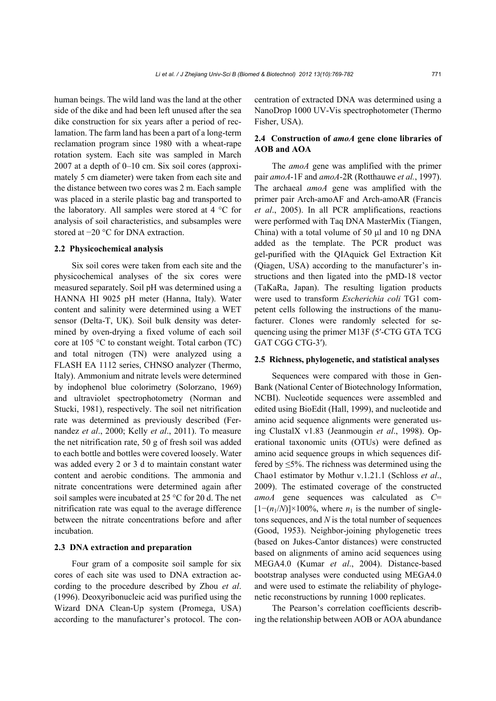human beings. The wild land was the land at the other side of the dike and had been left unused after the sea dike construction for six years after a period of reclamation. The farm land has been a part of a long-term reclamation program since 1980 with a wheat-rape rotation system. Each site was sampled in March 2007 at a depth of 0–10 cm. Six soil cores (approximately 5 cm diameter) were taken from each site and the distance between two cores was 2 m. Each sample was placed in a sterile plastic bag and transported to the laboratory. All samples were stored at 4 °C for analysis of soil characteristics, and subsamples were stored at −20 °C for DNA extraction.

#### **2.2 Physicochemical analysis**

Six soil cores were taken from each site and the physicochemical analyses of the six cores were measured separately. Soil pH was determined using a HANNA HI 9025 pH meter (Hanna, Italy). Water content and salinity were determined using a WET sensor (Delta-T, UK). Soil bulk density was determined by oven-drying a fixed volume of each soil core at 105 °C to constant weight. Total carbon (TC) and total nitrogen (TN) were analyzed using a FLASH EA 1112 series, CHNSO analyzer (Thermo, Italy). Ammonium and nitrate levels were determined by indophenol blue colorimetry (Solorzano, 1969) and ultraviolet spectrophotometry (Norman and Stucki, 1981), respectively. The soil net nitrification rate was determined as previously described (Fernandez *et al*., 2000; Kelly *et al*., 2011). To measure the net nitrification rate, 50 g of fresh soil was added to each bottle and bottles were covered loosely. Water was added every 2 or 3 d to maintain constant water content and aerobic conditions. The ammonia and nitrate concentrations were determined again after soil samples were incubated at 25 °C for 20 d. The net nitrification rate was equal to the average difference between the nitrate concentrations before and after incubation.

## **2.3 DNA extraction and preparation**

Four gram of a composite soil sample for six cores of each site was used to DNA extraction according to the procedure described by Zhou *et al*. (1996). Deoxyribonucleic acid was purified using the Wizard DNA Clean-Up system (Promega, USA) according to the manufacturer's protocol. The concentration of extracted DNA was determined using a NanoDrop 1000 UV-Vis spectrophotometer (Thermo Fisher, USA).

## **2.4 Construction of** *amoA* **gene clone libraries of AOB and AOA**

The *amoA* gene was amplified with the primer pair *amoA*-1F and *amoA*-2R (Rotthauwe *et al.*, 1997). The archaeal *amoA* gene was amplified with the primer pair Arch-amoAF and Arch-amoAR (Francis *et al*., 2005). In all PCR amplifications, reactions were performed with Taq DNA MasterMix (Tiangen, China) with a total volume of 50 μl and 10 ng DNA added as the template. The PCR product was gel-purified with the QIAquick Gel Extraction Kit (Qiagen, USA) according to the manufacturer's instructions and then ligated into the pMD-18 vector (TaKaRa, Japan). The resulting ligation products were used to transform *Escherichia coli* TG1 competent cells following the instructions of the manufacturer. Clones were randomly selected for sequencing using the primer M13F (5′-CTG GTA TCG GAT CGG CTG-3′).

#### **2.5 Richness, phylogenetic, and statistical analyses**

Sequences were compared with those in Gen-Bank (National Center of Biotechnology Information, NCBI). Nucleotide sequences were assembled and edited using BioEdit (Hall, 1999), and nucleotide and amino acid sequence alignments were generated using ClustalX v1.83 (Jeanmougin *et al*., 1998). Operational taxonomic units (OTUs) were defined as amino acid sequence groups in which sequences differed by  $\leq 5\%$ . The richness was determined using the Chao1 estimator by Mothur v.1.21.1 (Schloss *et al*., 2009). The estimated coverage of the constructed *amoA* gene sequences was calculated as *C*=  $[1-(n_1/N)]\times 100\%$ , where  $n_1$  is the number of singletons sequences, and *N* is the total number of sequences (Good, 1953). Neighbor-joining phylogenetic trees (based on Jukes-Cantor distances) were constructed based on alignments of amino acid sequences using MEGA4.0 (Kumar *et al*., 2004). Distance-based bootstrap analyses were conducted using MEGA4.0 and were used to estimate the reliability of phylogenetic reconstructions by running 1000 replicates.

The Pearson's correlation coefficients describing the relationship between AOB or AOA abundance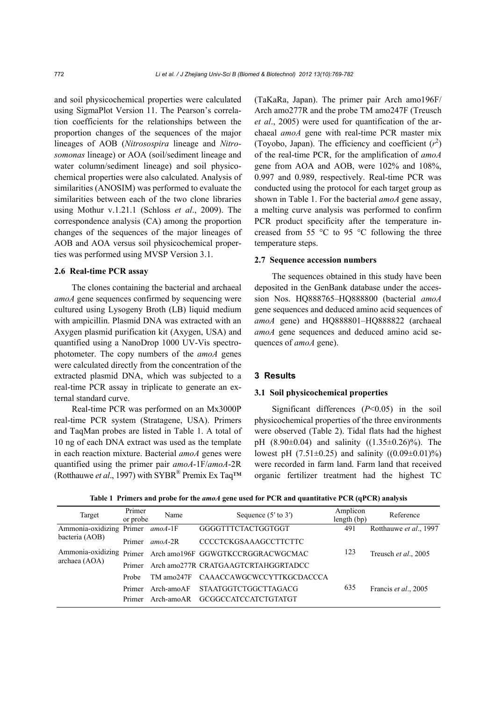and soil physicochemical properties were calculated using SigmaPlot Version 11. The Pearson's correlation coefficients for the relationships between the proportion changes of the sequences of the major lineages of AOB (*Nitrosospira* lineage and *Nitrosomonas* lineage) or AOA (soil/sediment lineage and water column/sediment lineage) and soil physicochemical properties were also calculated. Analysis of similarities (ANOSIM) was performed to evaluate the similarities between each of the two clone libraries using Mothur v.1.21.1 (Schloss *et al*., 2009). The correspondence analysis (CA) among the proportion changes of the sequences of the major lineages of AOB and AOA versus soil physicochemical properties was performed using MVSP Version 3.1.

## **2.6 Real-time PCR assay**

The clones containing the bacterial and archaeal *amoA* gene sequences confirmed by sequencing were cultured using Lysogeny Broth (LB) liquid medium with ampicillin. Plasmid DNA was extracted with an Axygen plasmid purification kit (Axygen, USA) and quantified using a NanoDrop 1000 UV-Vis spectrophotometer. The copy numbers of the *amoA* genes were calculated directly from the concentration of the extracted plasmid DNA, which was subjected to a real-time PCR assay in triplicate to generate an external standard curve.

Real-time PCR was performed on an Mx3000P real-time PCR system (Stratagene, USA). Primers and TaqMan probes are listed in Table 1. A total of 10 ng of each DNA extract was used as the template in each reaction mixture. Bacterial *amoA* genes were quantified using the primer pair *amoA*-1F/*amoA*-2R (Rotthauwe *et al.*, 1997) with SYBR<sup>®</sup> Premix Ex Taq<sup>TM</sup> (TaKaRa, Japan). The primer pair Arch amo196F/ Arch amo277R and the probe TM amo247F (Treusch *et al*., 2005) were used for quantification of the archaeal *amoA* gene with real-time PCR master mix (Toyobo, Japan). The efficiency and coefficient  $(r^2)$ of the real-time PCR, for the amplification of *amoA*  gene from AOA and AOB, were 102% and 108%, 0.997 and 0.989, respectively. Real-time PCR was conducted using the protocol for each target group as shown in Table 1. For the bacterial *amoA* gene assay, a melting curve analysis was performed to confirm PCR product specificity after the temperature increased from 55  $\degree$ C to 95  $\degree$ C following the three temperature steps.

## **2.7 Sequence accession numbers**

The sequences obtained in this study have been deposited in the GenBank database under the accession Nos. HQ888765–HQ888800 (bacterial *amoA* gene sequences and deduced amino acid sequences of *amoA* gene) and HQ888801–HQ888822 (archaeal *amoA* gene sequences and deduced amino acid sequences of *amoA* gene).

#### **3 Results**

#### **3.1 Soil physicochemical properties**

Significant differences (*P*<0.05) in the soil physicochemical properties of the three environments were observed (Table 2). Tidal flats had the highest pH  $(8.90\pm0.04)$  and salinity  $((1.35\pm0.26)\%)$ . The lowest pH  $(7.51\pm0.25)$  and salinity  $((0.09\pm0.01)\%)$ were recorded in farm land. Farm land that received organic fertilizer treatment had the highest TC

| Table 1 Primers and probe for the amoA gene used for PCR and quantitative PCR (qPCR) analysis |  |  |  |
|-----------------------------------------------------------------------------------------------|--|--|--|
|-----------------------------------------------------------------------------------------------|--|--|--|

| Target                   | Primer<br>or probe | Name                             | Sequence $(5'$ to $3')$                                    | Amplicon<br>length (bp) | Reference              |
|--------------------------|--------------------|----------------------------------|------------------------------------------------------------|-------------------------|------------------------|
| Ammonia-oxidizing Primer |                    | amoA-1 $\boldsymbol{\mathrm{F}}$ | GGGGTTTCTACTGGTGGT                                         | 491                     | Rotthauwe et al., 1997 |
| bacteria (AOB)           | Primer             | $amoA-2R$                        | <b>CCCCTCKGSAAAGCCTTCTTC</b>                               |                         |                        |
| archaea (AOA)            |                    |                                  | Ammonia-oxidizing Primer Arch amo196F GGWGTKCCRGGRACWGCMAC | 123                     | Treusch et al., 2005   |
|                          | Primer             |                                  | Arch amo277R CRATGAAGTCRTAHGGRTADCC                        |                         |                        |
|                          | Probe              | TM amo <sub>247F</sub>           | <b>CAAACCAWGCWCCYTTKGCDACCCA</b>                           |                         |                        |
|                          | Primer<br>Primer   | Arch-amoAF<br>Arch-amoAR         | <b>STAATGGTCTGGCTTAGACG</b><br>GCGGCCATCCATCTGTATGT        | 635                     | Francis et al., 2005   |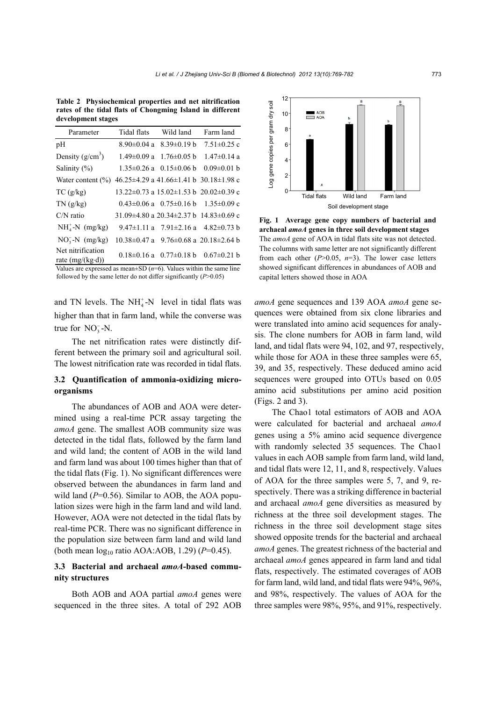**Table 2 Physiochemical properties and net nitrification rates of the tidal flats of Chongming Island in different development stages**

| Parameter                                     | Tidal flats       | Wild land                                                | Farm land         |  |
|-----------------------------------------------|-------------------|----------------------------------------------------------|-------------------|--|
| pH                                            |                   | $8.90\pm0.04$ a $8.39\pm0.19$ b                          | $7.51 \pm 0.25$ c |  |
| Density $(g/cm^3)$                            |                   | $1.49\pm0.09$ a $1.76\pm0.05$ b                          | $1.47 \pm 0.14$ a |  |
| Salinity $(\%)$                               | $1.35 \pm 0.26$ a | $0.15 \pm 0.06$ b                                        | $0.09 \pm 0.01$ b |  |
| Water content $(\% )$                         |                   | $46.25\pm4.29$ a $41.66\pm1.41$ b $30.18\pm1.98$ c       |                   |  |
| TC(g/kg)                                      |                   | 13.22 $\pm$ 0.73 a 15.02 $\pm$ 1.53 b 20.02 $\pm$ 0.39 c |                   |  |
| TN(g/kg)                                      |                   | $0.43 \pm 0.06$ a $0.75 \pm 0.16$ b $1.35 \pm 0.09$ c    |                   |  |
| $C/N$ ratio                                   |                   | 31.09 $\pm$ 4.80 a 20.34 $\pm$ 2.37 b 14.83 $\pm$ 0.69 c |                   |  |
| $NH4+-N$ (mg/kg)                              |                   | 9.47 $\pm$ 1.11 a 7.91 $\pm$ 2.16 a 4.82 $\pm$ 0.73 b    |                   |  |
| $NO3-N$ (mg/kg)                               |                   | $10.38 \pm 0.47$ a 9.76 $\pm 0.68$ a 20.18 $\pm 2.64$ b  |                   |  |
| Net nitrification<br>rate $(mg/(kg \cdot d))$ |                   | $0.18 \pm 0.16$ a $0.77 \pm 0.18$ b                      | $0.67 \pm 0.21$ b |  |
|                                               |                   |                                                          |                   |  |

Values are expressed as mean $\pm$ SD ( $n=6$ ). Values within the same line followed by the same letter do not differ significantly (*P*>0.05)

and TN levels. The  $NH<sub>4</sub><sup>+</sup>-N$  level in tidal flats was higher than that in farm land, while the converse was true for  $NO_3^-$ -N.

The net nitrification rates were distinctly different between the primary soil and agricultural soil. The lowest nitrification rate was recorded in tidal flats.

## **3.2 Quantification of ammonia-oxidizing microorganisms**

The abundances of AOB and AOA were determined using a real-time PCR assay targeting the *amoA* gene. The smallest AOB community size was detected in the tidal flats, followed by the farm land and wild land; the content of AOB in the wild land and farm land was about 100 times higher than that of the tidal flats (Fig. 1). No significant differences were observed between the abundances in farm land and wild land ( $P=0.56$ ). Similar to AOB, the AOA population sizes were high in the farm land and wild land. However, AOA were not detected in the tidal flats by real-time PCR. There was no significant difference in the population size between farm land and wild land (both mean log10 ratio AOA:AOB, 1.29) (*P*=0.45).

## **3.3 Bacterial and archaeal** *amoA***-based community structures**

Both AOB and AOA partial *amoA* genes were sequenced in the three sites. A total of 292 AOB



**Fig. 1 Average gene copy numbers of bacterial and archaeal** *amoA* **genes in three soil development stages**  The *amoA* gene of AOA in tidal flats site was not detected. The columns with same letter are not significantly different from each other (*P*>0.05, *n*=3). The lower case letters showed significant differences in abundances of AOB and capital letters showed those in AOA

*amoA* gene sequences and 139 AOA *amoA* gene sequences were obtained from six clone libraries and were translated into amino acid sequences for analysis. The clone numbers for AOB in farm land, wild land, and tidal flats were 94, 102, and 97, respectively, while those for AOA in these three samples were 65, 39, and 35, respectively. These deduced amino acid sequences were grouped into OTUs based on 0.05 amino acid substitutions per amino acid position (Figs. 2 and 3).

The Chao1 total estimators of AOB and AOA were calculated for bacterial and archaeal *amoA*  genes using a 5% amino acid sequence divergence with randomly selected 35 sequences. The Chao1 values in each AOB sample from farm land, wild land, and tidal flats were 12, 11, and 8, respectively. Values of AOA for the three samples were 5, 7, and 9, respectively. There was a striking difference in bacterial and archaeal *amoA* gene diversities as measured by richness at the three soil development stages. The richness in the three soil development stage sites showed opposite trends for the bacterial and archaeal *amoA* genes. The greatest richness of the bacterial and archaeal *amoA* genes appeared in farm land and tidal flats, respectively. The estimated coverages of AOB for farm land, wild land, and tidal flats were 94%, 96%, and 98%, respectively. The values of AOA for the three samples were 98%, 95%, and 91%, respectively.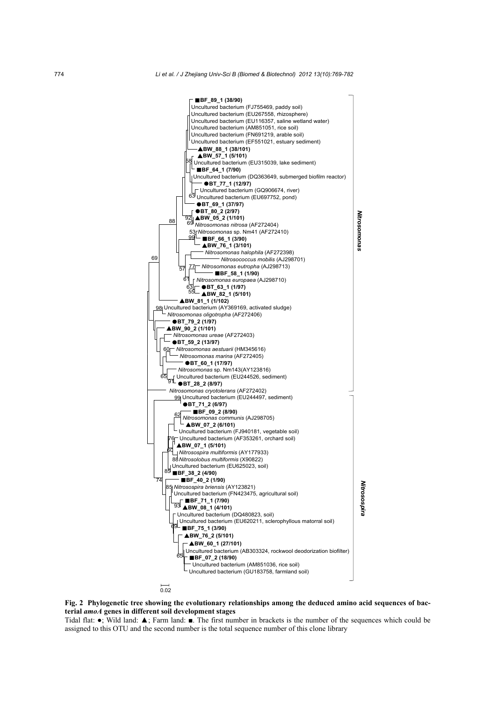

**Fig. 2 Phylogenetic tree showing the evolutionary relationships among the deduced amino acid sequences of bacterial** *amoA* **genes in different soil development stages** 

Tidal flat: ●; Wild land: ▲; Farm land: ■. The first number in brackets is the number of the sequences which could be assigned to this OTU and the second number is the total sequence number of this clone library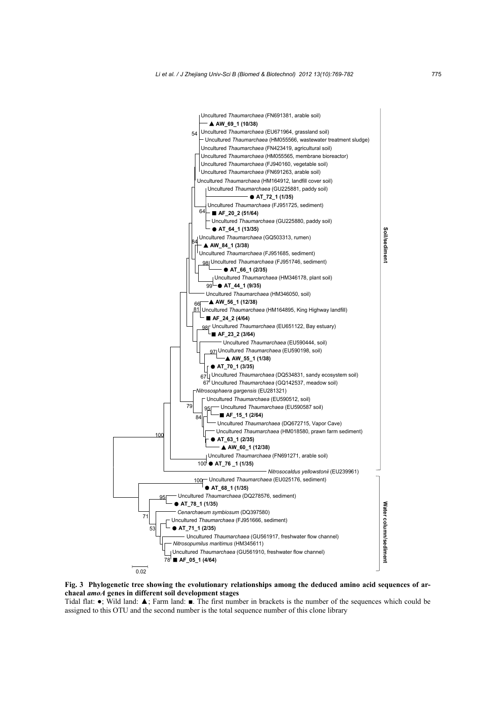

**Fig. 3 Phylogenetic tree showing the evolutionary relationships among the deduced amino acid sequences of archaeal** *amoA* **genes in different soil development stages** 

Tidal flat: ●; Wild land: ▲; Farm land: ■. The first number in brackets is the number of the sequences which could be assigned to this OTU and the second number is the total sequence number of this clone library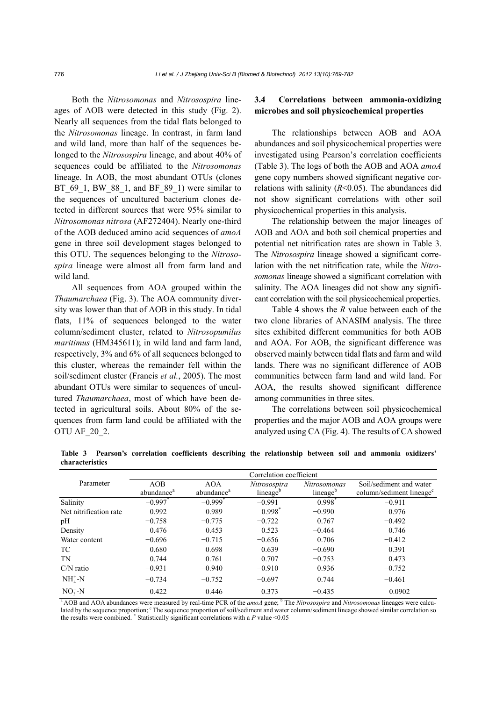Both the *Nitrosomonas* and *Nitrosospira* lineages of AOB were detected in this study (Fig. 2). Nearly all sequences from the tidal flats belonged to the *Nitrosomonas* lineage. In contrast, in farm land and wild land, more than half of the sequences belonged to the *Nitrosospira* lineage, and about 40% of sequences could be affiliated to the *Nitrosomonas* lineage. In AOB, the most abundant OTUs (clones BT $69$  1, BW  $88$  1, and BF  $89$  1) were similar to the sequences of uncultured bacterium clones detected in different sources that were 95% similar to *Nitrosomonas nitrosa* (AF272404). Nearly one-third of the AOB deduced amino acid sequences of *amoA*  gene in three soil development stages belonged to this OTU. The sequences belonging to the *Nitrosospira* lineage were almost all from farm land and wild land.

All sequences from AOA grouped within the *Thaumarchaea* (Fig. 3). The AOA community diversity was lower than that of AOB in this study. In tidal flats, 11% of sequences belonged to the water column/sediment cluster, related to *Nitrosopumilus maritimus* (HM345611); in wild land and farm land, respectively, 3% and 6% of all sequences belonged to this cluster, whereas the remainder fell within the soil/sediment cluster (Francis *et al.*, 2005). The most abundant OTUs were similar to sequences of uncultured *Thaumarchaea*, most of which have been detected in agricultural soils. About 80% of the sequences from farm land could be affiliated with the OTU AF\_20\_2.

## **3.4 Correlations between ammonia-oxidizing microbes and soil physicochemical properties**

The relationships between AOB and AOA abundances and soil physicochemical properties were investigated using Pearson's correlation coefficients (Table 3). The logs of both the AOB and AOA *amoA* gene copy numbers showed significant negative correlations with salinity (*R*<0.05). The abundances did not show significant correlations with other soil physicochemical properties in this analysis.

The relationship between the major lineages of AOB and AOA and both soil chemical properties and potential net nitrification rates are shown in Table 3. The *Nitrosospira* lineage showed a significant correlation with the net nitrification rate, while the *Nitrosomonas* lineage showed a significant correlation with salinity. The AOA lineages did not show any significant correlation with the soil physicochemical properties.

Table 4 shows the *R* value between each of the two clone libraries of ANASIM analysis. The three sites exhibited different communities for both AOB and AOA. For AOB, the significant difference was observed mainly between tidal flats and farm and wild lands. There was no significant difference of AOB communities between farm land and wild land. For AOA, the results showed significant difference among communities in three sites.

The correlations between soil physicochemical properties and the major AOB and AOA groups were analyzed using CA (Fig. 4). The results of CA showed

**Table 3 Pearson's correlation coefficients describing the relationship between soil and ammonia oxidizers' characteristics** 

|                        | Correlation coefficient |                        |                      |                      |                                      |
|------------------------|-------------------------|------------------------|----------------------|----------------------|--------------------------------------|
| Parameter              | AOB                     | <b>AOA</b>             | Nitrosospira         | Nitrosomonas         | Soil/sediment and water              |
|                        | abundance <sup>a</sup>  | abundance <sup>a</sup> | lineage <sup>b</sup> | lineage <sup>b</sup> | column/sediment lineage <sup>c</sup> |
| Salinity               | $-0.997$ <sup>*</sup>   | $-0.999*$              | $-0.991$             | $0.998*$             | $-0.911$                             |
| Net nitrification rate | 0.992                   | 0.989                  | $0.998*$             | $-0.990$             | 0.976                                |
| pH                     | $-0.758$                | $-0.775$               | $-0.722$             | 0.767                | $-0.492$                             |
| Density                | 0.476                   | 0.453                  | 0.523                | $-0.464$             | 0.746                                |
| Water content          | $-0.696$                | $-0.715$               | $-0.656$             | 0.706                | $-0.412$                             |
| TC                     | 0.680                   | 0.698                  | 0.639                | $-0.690$             | 0.391                                |
| <b>TN</b>              | 0.744                   | 0.761                  | 0.707                | $-0.753$             | 0.473                                |
| $C/N$ ratio            | $-0.931$                | $-0.940$               | $-0.910$             | 0.936                | $-0.752$                             |
| $NH4+-N$               | $-0.734$                | $-0.752$               | $-0.697$             | 0.744                | $-0.461$                             |
| $NO3-N$                | 0.422                   | 0.446                  | 0.373                | $-0.435$             | 0.0902                               |

<sup>a</sup> AOB and AOA abundances were measured by real-time PCR of the *amoA* gene;<sup>b</sup> The *Nitrosospira* and *Nitrosomonas* lineages were calculated by the sequence proportion; <sup>c</sup> The sequence proportion of soil/sediment and water column/sediment lineage showed similar correlation so the results were combined. \* Statistically significant correlations with a *P* value <0.05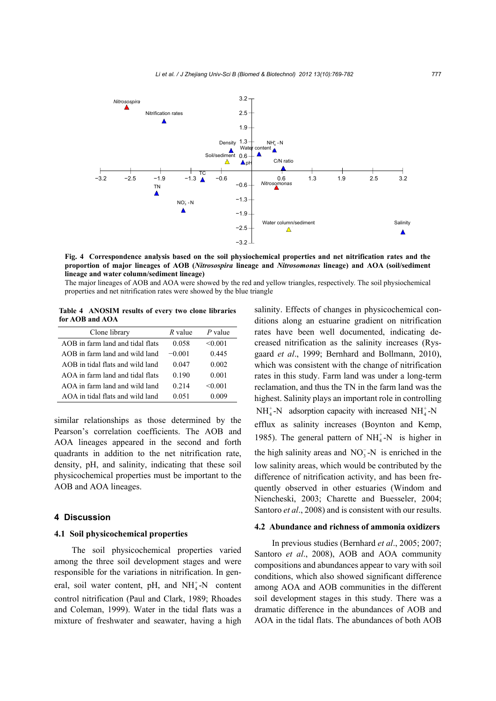

**Fig. 4 Correspondence analysis based on the soil physiochemical properties and net nitrification rates and the proportion of major lineages of AOB (***Nitrosospira* **lineage and** *Nitrosomonas* **lineage) and AOA (soil/sediment lineage and water column/sediment lineage)** 

The major lineages of AOB and AOA were showed by the red and yellow triangles, respectively. The soil physiochemical properties and net nitrification rates were showed by the blue triangle

**Table 4 ANOSIM results of every two clone libraries for AOB and AOA**

| Clone library                    | R value  | $P$ value |
|----------------------------------|----------|-----------|
| AOB in farm land and tidal flats | 0.058    | < 0.001   |
| AOB in farm land and wild land   | $-0.001$ | 0.445     |
| AOB in tidal flats and wild land | 0.047    | 0.002     |
| AOA in farm land and tidal flats | 0.190    | 0.001     |
| AOA in farm land and wild land   | 0.214    | < 0.001   |
| AOA in tidal flats and wild land | 0.051    | 0.009     |

similar relationships as those determined by the Pearson's correlation coefficients. The AOB and AOA lineages appeared in the second and forth quadrants in addition to the net nitrification rate, density, pH, and salinity, indicating that these soil physicochemical properties must be important to the AOB and AOA lineages.

## **4 Discussion**

#### **4.1 Soil physicochemical properties**

The soil physicochemical properties varied among the three soil development stages and were responsible for the variations in nitrification. In general, soil water content, pH, and  $NH<sub>4</sub><sup>+</sup>-N$  content control nitrification (Paul and Clark, 1989; Rhoades and Coleman, 1999). Water in the tidal flats was a mixture of freshwater and seawater, having a high

salinity. Effects of changes in physicochemical conditions along an estuarine gradient on nitrification rates have been well documented, indicating decreased nitrification as the salinity increases (Rysgaard *et al*., 1999; Bernhard and Bollmann, 2010), which was consistent with the change of nitrification rates in this study. Farm land was under a long-term reclamation, and thus the TN in the farm land was the highest. Salinity plays an important role in controlling  $NH<sub>4</sub><sup>+</sup> - N$  adsorption capacity with increased  $NH<sub>4</sub><sup>+</sup> - N$ efflux as salinity increases (Boynton and Kemp, 1985). The general pattern of  $NH<sub>4</sub><sup>+</sup>-N$  is higher in the high salinity areas and  $NO_3^-$ -N is enriched in the low salinity areas, which would be contributed by the difference of nitrification activity, and has been frequently observed in other estuaries (Windom and Niencheski, 2003; Charette and Buesseler, 2004; Santoro *et al*., 2008) and is consistent with our results.

## **4.2 Abundance and richness of ammonia oxidizers**

In previous studies (Bernhard *et al*., 2005; 2007; Santoro *et al*., 2008), AOB and AOA community compositions and abundances appear to vary with soil conditions, which also showed significant difference among AOA and AOB communities in the different soil development stages in this study. There was a dramatic difference in the abundances of AOB and AOA in the tidal flats. The abundances of both AOB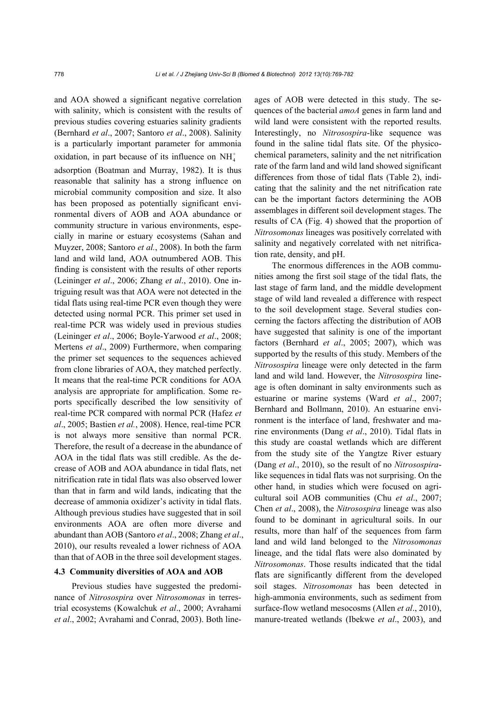and AOA showed a significant negative correlation with salinity, which is consistent with the results of previous studies covering estuaries salinity gradients (Bernhard *et al*., 2007; Santoro *et al*., 2008). Salinity is a particularly important parameter for ammonia oxidation, in part because of its influence on  $NH<sub>4</sub><sup>+</sup>$ adsorption (Boatman and Murray, 1982). It is thus reasonable that salinity has a strong influence on microbial community composition and size. It also has been proposed as potentially significant environmental divers of AOB and AOA abundance or community structure in various environments, especially in marine or estuary ecosystems (Sahan and Muyzer, 2008; Santoro *et al.*, 2008). In both the farm land and wild land, AOA outnumbered AOB. This finding is consistent with the results of other reports (Leininger *et al*., 2006; Zhang *et al*., 2010). One intriguing result was that AOA were not detected in the tidal flats using real-time PCR even though they were detected using normal PCR. This primer set used in real-time PCR was widely used in previous studies (Leininger *et al*., 2006; Boyle-Yarwood *et al*., 2008; Mertens *et al*., 2009) Furthermore, when comparing the primer set sequences to the sequences achieved from clone libraries of AOA, they matched perfectly. It means that the real-time PCR conditions for AOA analysis are appropriate for amplification. Some reports specifically described the low sensitivity of real-time PCR compared with normal PCR (Hafez *et al*., 2005; Bastien *et al.*, 2008). Hence, real-time PCR is not always more sensitive than normal PCR. Therefore, the result of a decrease in the abundance of AOA in the tidal flats was still credible. As the decrease of AOB and AOA abundance in tidal flats, net nitrification rate in tidal flats was also observed lower than that in farm and wild lands, indicating that the decrease of ammonia oxidizer's activity in tidal flats. Although previous studies have suggested that in soil environments AOA are often more diverse and abundant than AOB (Santoro *et al*., 2008; Zhang *et al*., 2010), our results revealed a lower richness of AOA than that of AOB in the three soil development stages.

## **4.3 Community diversities of AOA and AOB**

Previous studies have suggested the predominance of *Nitrosospira* over *Nitrosomonas* in terrestrial ecosystems (Kowalchuk *et al*., 2000; Avrahami *et al*., 2002; Avrahami and Conrad, 2003). Both lineages of AOB were detected in this study. The sequences of the bacterial *amoA* genes in farm land and wild land were consistent with the reported results. Interestingly, no *Nitrosospira*-like sequence was found in the saline tidal flats site. Of the physicochemical parameters, salinity and the net nitrification rate of the farm land and wild land showed significant differences from those of tidal flats (Table 2), indicating that the salinity and the net nitrification rate can be the important factors determining the AOB assemblages in different soil development stages. The results of CA (Fig. 4) showed that the proportion of *Nitrosomonas* lineages was positively correlated with salinity and negatively correlated with net nitrification rate, density, and pH.

The enormous differences in the AOB communities among the first soil stage of the tidal flats, the last stage of farm land, and the middle development stage of wild land revealed a difference with respect to the soil development stage. Several studies concerning the factors affecting the distribution of AOB have suggested that salinity is one of the important factors (Bernhard *et al*., 2005; 2007), which was supported by the results of this study. Members of the *Nitrosospira* lineage were only detected in the farm land and wild land. However, the *Nitrosospira* lineage is often dominant in salty environments such as estuarine or marine systems (Ward *et al*., 2007; Bernhard and Bollmann, 2010). An estuarine environment is the interface of land, freshwater and marine environments (Dang *et al*., 2010). Tidal flats in this study are coastal wetlands which are different from the study site of the Yangtze River estuary (Dang *et al*., 2010), so the result of no *Nitrosospira*like sequences in tidal flats was not surprising. On the other hand, in studies which were focused on agricultural soil AOB communities (Chu *et al*., 2007; Chen *et al*., 2008), the *Nitrosospira* lineage was also found to be dominant in agricultural soils. In our results, more than half of the sequences from farm land and wild land belonged to the *Nitrosomonas* lineage, and the tidal flats were also dominated by *Nitrosomonas*. Those results indicated that the tidal flats are significantly different from the developed soil stages. *Nitrosomonas* has been detected in high-ammonia environments, such as sediment from surface-flow wetland mesocosms (Allen *et al*., 2010), manure-treated wetlands (Ibekwe *et al*., 2003), and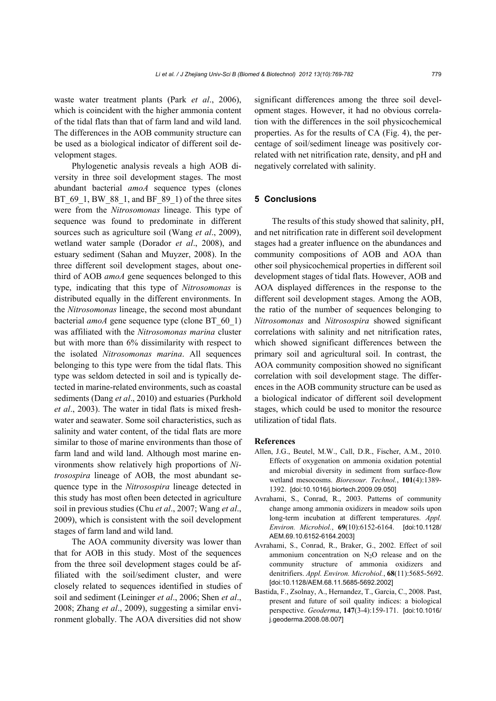waste water treatment plants (Park *et al*., 2006), which is coincident with the higher ammonia content of the tidal flats than that of farm land and wild land. The differences in the AOB community structure can be used as a biological indicator of different soil development stages.

Phylogenetic analysis reveals a high AOB diversity in three soil development stages. The most abundant bacterial *amoA* sequence types (clones BT\_69\_1, BW\_88\_1, and BF\_89\_1) of the three sites were from the *Nitrosomonas* lineage. This type of sequence was found to predominate in different sources such as agriculture soil (Wang *et al*., 2009), wetland water sample (Dorador *et al*., 2008), and estuary sediment (Sahan and Muyzer, 2008). In the three different soil development stages, about onethird of AOB *amoA* gene sequences belonged to this type, indicating that this type of *Nitrosomonas* is distributed equally in the different environments. In the *Nitrosomonas* lineage, the second most abundant bacterial *amoA* gene sequence type (clone BT\_60\_1) was affiliated with the *Nitrosomonas marina* cluster but with more than 6% dissimilarity with respect to the isolated *Nitrosomonas marina*. All sequences belonging to this type were from the tidal flats. This type was seldom detected in soil and is typically detected in marine-related environments, such as coastal sediments (Dang *et al*., 2010) and estuaries (Purkhold *et al*., 2003). The water in tidal flats is mixed freshwater and seawater. Some soil characteristics, such as salinity and water content, of the tidal flats are more similar to those of marine environments than those of farm land and wild land. Although most marine environments show relatively high proportions of *Nitrosospira* lineage of AOB, the most abundant sequence type in the *Nitrosospira* lineage detected in this study has most often been detected in agriculture soil in previous studies (Chu *et al*., 2007; Wang *et al*., 2009), which is consistent with the soil development stages of farm land and wild land.

The AOA community diversity was lower than that for AOB in this study. Most of the sequences from the three soil development stages could be affiliated with the soil/sediment cluster, and were closely related to sequences identified in studies of soil and sediment (Leininger *et al*., 2006; Shen *et al*., 2008; Zhang *et al*., 2009), suggesting a similar environment globally. The AOA diversities did not show significant differences among the three soil development stages. However, it had no obvious correlation with the differences in the soil physicochemical properties. As for the results of CA (Fig. 4), the percentage of soil/sediment lineage was positively correlated with net nitrification rate, density, and pH and negatively correlated with salinity.

## **5 Conclusions**

The results of this study showed that salinity, pH, and net nitrification rate in different soil development stages had a greater influence on the abundances and community compositions of AOB and AOA than other soil physicochemical properties in different soil development stages of tidal flats. However, AOB and AOA displayed differences in the response to the different soil development stages. Among the AOB, the ratio of the number of sequences belonging to *Nitrosomonas* and *Nitrosospira* showed significant correlations with salinity and net nitrification rates, which showed significant differences between the primary soil and agricultural soil. In contrast, the AOA community composition showed no significant correlation with soil development stage. The differences in the AOB community structure can be used as a biological indicator of different soil development stages, which could be used to monitor the resource utilization of tidal flats.

#### **References**

- Allen, J.G., Beutel, M.W., Call, D.R., Fischer, A.M., 2010. Effects of oxygenation on ammonia oxidation potential and microbial diversity in sediment from surface-flow wetland mesocosms. *Bioresour. Technol.*, **101**(4):1389- 1392. [doi:10.1016/j.biortech.2009.09.050]
- Avrahami, S., Conrad, R., 2003. Patterns of community change among ammonia oxidizers in meadow soils upon long-term incubation at different temperatures. *Appl. Environ. Microbiol.*, **69**(10):6152-6164. [doi:10.1128/ AEM.69.10.6152-6164.2003]
- Avrahami, S., Conrad, R., Braker, G., 2002. Effect of soil ammonium concentration on  $N_2O$  release and on the community structure of ammonia oxidizers and denitrifiers. *Appl. Environ. Microbiol.*, **68**(11):5685-5692. [doi:10.1128/AEM.68.11.5685-5692.2002]
- Bastida, F., Zsolnay, A., Hernandez, T., Garcia, C., 2008. Past, present and future of soil quality indices: a biological perspective. *Geoderma*, **147**(3-4):159-171. [doi:10.1016/ j.geoderma.2008.08.007]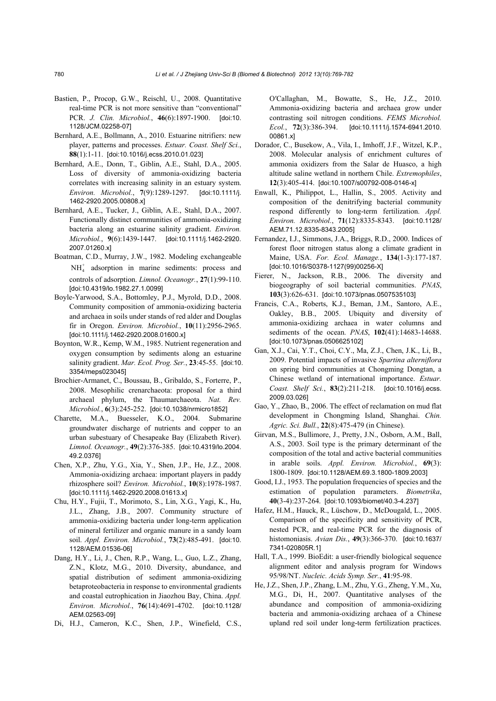- Bastien, P., Procop, G.W., Reischl, U., 2008. Quantitative real-time PCR is not more sensitive than "conventional" PCR. *J. Clin. Microbiol.*, **46**(6):1897-1900. [doi:10. 1128/JCM.02258-07]
- Bernhard, A.E., Bollmann, A., 2010. Estuarine nitrifiers: new player, patterns and processes. *Estuar. Coast. Shelf Sci.*, **88**(1):1-11. [doi:10.1016/j.ecss.2010.01.023]
- Bernhard, A.E., Donn, T., Giblin, A.E., Stahl, D.A., 2005. Loss of diversity of ammonia-oxidizing bacteria correlates with increasing salinity in an estuary system. *Environ. Microbiol.*, **7**(9):1289-1297. [doi:10.1111/j. 1462-2920.2005.00808.x]
- Bernhard, A.E., Tucker, J., Giblin, A.E., Stahl, D.A., 2007. Functionally distinct communities of ammonia-oxidizing bacteria along an estuarine salinity gradient. *Environ. Microbiol.*, **9**(6):1439-1447. [doi:10.1111/j.1462-2920. 2007.01260.x]
- Boatman, C.D., Murray, J.W., 1982. Modeling exchangeable  $NH<sub>4</sub><sup>+</sup>$  adsorption in marine sediments: process and controls of adsorption. *Limnol. Oceanogr.*, **27**(1):99-110. [doi:10.4319/lo.1982.27.1.0099]
- Boyle-Yarwood, S.A., Bottomley, P.J., Myrold, D.D., 2008. Community composition of ammonia-oxidizing bacteria and archaea in soils under stands of red alder and Douglas fir in Oregon. *Environ. Microbiol.*, **10**(11):2956-2965. [doi:10.1111/j.1462-2920.2008.01600.x]
- Boynton, W.R., Kemp, W.M., 1985. Nutrient regeneration and oxygen consumption by sediments along an estuarine salinity gradient. *Mar. Ecol. Prog. Ser.*, **23**:45-55. [doi:10. 3354/meps023045]
- Brochier-Armanet, C., Boussau, B., Gribaldo, S., Forterre, P., 2008. Mesophilic crenarchaeota: proposal for a third archaeal phylum, the Thaumarchaeota. *Nat. Rev. Microbiol.*, **6**(3):245-252. [doi:10.1038/nrmicro1852]
- Charette, M.A., Buesseler, K.O., 2004. Submarine groundwater discharge of nutrients and copper to an urban subestuary of Chesapeake Bay (Elizabeth River). *Limnol. Oceanogr.*, **49**(2):376-385. [doi:10.4319/lo.2004. 49.2.0376]
- Chen, X.P., Zhu, Y.G., Xia, Y., Shen, J.P., He, J.Z., 2008. Ammonia-oxidizing archaea: important players in paddy rhizosphere soil? *Environ. Microbiol.*, **10**(8):1978-1987. [doi:10.1111/j.1462-2920.2008.01613.x]
- Chu, H.Y., Fujii, T., Morimoto, S., Lin, X.G., Yagi, K., Hu, J.L., Zhang, J.B., 2007. Community structure of ammonia-oxidizing bacteria under long-term application of mineral fertilizer and organic manure in a sandy loam soil. *Appl. Environ. Microbiol.*, **73**(2):485-491. [doi:10. 1128/AEM.01536-06]
- Dang, H.Y., Li, J., Chen, R.P., Wang, L., Guo, L.Z., Zhang, Z.N., Klotz, M.G., 2010. Diversity, abundance, and spatial distribution of sediment ammonia-oxidizing betaproteobacteria in response to environmental gradients and coastal eutrophication in Jiaozhou Bay, China. *Appl. Environ. Microbiol.*, **76**(14):4691-4702. [doi:10.1128/ AEM.02563-09]
- Di, H.J., Cameron, K.C., Shen, J.P., Winefield, C.S.,

O′Callaghan, M., Bowatte, S., He, J.Z., 2010. Ammonia-oxidizing bacteria and archaea grow under contrasting soil nitrogen conditions. *FEMS Microbiol. Ecol.*, **72**(3):386-394. [doi:10.1111/j.1574-6941.2010. 00861.x]

- Dorador, C., Busekow, A., Vila, I., Imhoff, J.F., Witzel, K.P., 2008. Molecular analysis of enrichment cultures of ammonia oxidizers from the Salar de Huasco, a high altitude saline wetland in northern Chile. *Extremophiles*, **12**(3):405-414. [doi:10.1007/s00792-008-0146-x]
- Enwall, K., Philippot, L., Hallin, S., 2005. Activity and composition of the denitrifying bacterial community respond differently to long-term fertilization. *Appl. Environ. Microbiol.*, **71**(12):8335-8343. [doi:10.1128/ AEM.71.12.8335-8343.2005]
- Fernandez, I.J., Simmons, J.A., Briggs, R.D., 2000. Indices of forest floor nitrogen status along a climate gradient in Maine, USA. *For. Ecol. Manage.*, **134**(1-3):177-187. [doi:10.1016/S0378-1127(99)00256-X]
- Fierer, N., Jackson, R.B., 2006. The diversity and biogeography of soil bacterial communities. *PNAS*, **103**(3):626-631. [doi:10.1073/pnas.0507535103]
- Francis, C.A., Roberts, K.J., Beman, J.M., Santoro, A.E., Oakley, B.B., 2005. Ubiquity and diversity of ammonia-oxidizing archaea in water columns and sediments of the ocean. *PNAS*, **102**(41):14683-14688. [doi:10.1073/pnas.0506625102]
- Gan, X.J., Cai, Y.T., Choi, C.Y., Ma, Z.J., Chen, J.K., Li, B., 2009. Potential impacts of invasive *Spartina alterniflora*  on spring bird communities at Chongming Dongtan, a Chinese wetland of international importance. *Estuar. Coast. Shelf Sci.*, **83**(2):211-218. [doi:10.1016/j.ecss. 2009.03.026]
- Gao, Y., Zhao, B., 2006. The effect of reclamation on mud flat development in Chongming Island, Shanghai. *Chin. Agric. Sci. Bull.*, **22**(8):475-479 (in Chinese).
- Girvan, M.S., Bullimore, J., Pretty, J.N., Osborn, A.M., Ball, A.S., 2003. Soil type is the primary determinant of the composition of the total and active bacterial communities in arable soils. *Appl. Environ. Microbiol.*, **69**(3): 1800-1809. [doi:10.1128/AEM.69.3.1800-1809.2003]
- Good, I.J., 1953. The population frequencies of species and the estimation of population parameters. *Biometrika*, **40**(3-4):237-264. [doi:10.1093/biomet/40.3-4.237]
- Hafez, H.M., Hauck, R., Lüschow, D., McDougald, L., 2005. Comparison of the specificity and sensitivity of PCR, nested PCR, and real-time PCR for the diagnosis of histomoniasis. *Avian Dis.*, **49**(3):366-370. [doi:10.1637/ 7341-020805R.1]
- Hall, T.A., 1999. BioEdit: a user-friendly biological sequence alignment editor and analysis program for Windows 95/98/NT. *Nucleic. Acids Symp. Ser.*, **41**:95-98.
- He, J.Z., Shen, J.P., Zhang, L.M., Zhu, Y.G., Zheng, Y.M., Xu, M.G., Di, H., 2007. Quantitative analyses of the abundance and composition of ammonia-oxidizing bacteria and ammonia-oxidizing archaea of a Chinese upland red soil under long-term fertilization practices.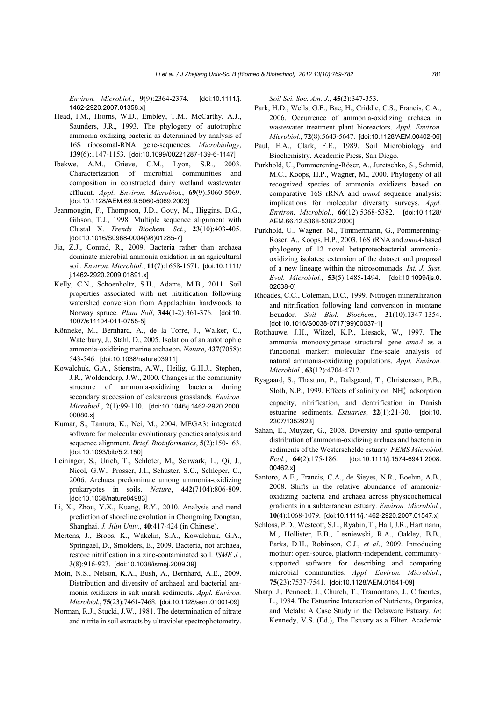*Environ. Microbiol.*, **9**(9):2364-2374. [doi:10.1111/j. 1462-2920.2007.01358.x]

- Head, I.M., Hiorns, W.D., Embley, T.M., McCarthy, A.J., Saunders, J.R., 1993. The phylogeny of autotrophic ammonia-oxdizing bacteria as determined by analysis of 16S ribosomal-RNA gene-sequences. *Microbiology*, **139**(6):1147-1153. [doi:10.1099/00221287-139-6-1147]
- Ibekwe, A.M., Grieve, C.M., Lyon, S.R., 2003. Characterization of microbial communities and composition in constructed dairy wetland wastewater effluent. *Appl. Environ. Microbiol.*, **69**(9):5060-5069. [doi:10.1128/AEM.69.9.5060-5069.2003]
- Jeanmougin, F., Thompson, J.D., Gouy, M., Higgins, D.G., Gibson, T.J., 1998. Multiple sequence alignment with Clustal X. *Trends Biochem. Sci.*, **23**(10):403-405. [doi:10.1016/S0968-0004(98)01285-7]
- Jia, Z.J., Conrad, R., 2009. Bacteria rather than archaea dominate microbial ammonia oxidation in an agricultural soil. *Environ. Microbiol.*, **11**(7):1658-1671. [doi:10.1111/ j.1462-2920.2009.01891.x]
- Kelly, C.N., Schoenholtz, S.H., Adams, M.B., 2011. Soil properties associated with net nitrification following watershed conversion from Appalachian hardwoods to Norway spruce. *Plant Soil*, **344**(1-2):361-376. [doi:10. 1007/s11104-011-0755-5]
- Könneke, M., Bernhard, A., de la Torre, J., Walker, C., Waterbury, J., Stahl, D., 2005. Isolation of an autotrophic ammonia-oxidizing marine archaeon. *Nature*, **437**(7058): 543-546. [doi:10.1038/nature03911]
- Kowalchuk, G.A., Stienstra, A.W., Heilig, G.H.J., Stephen, J.R., Woldendorp, J.W., 2000. Changes in the community structure of ammonia-oxidizing bacteria during secondary succession of calcareous grasslands. *Environ. Microbiol.*, **2**(1):99-110. [doi:10.1046/j.1462-2920.2000. 00080.x]
- Kumar, S., Tamura, K., Nei, M., 2004. MEGA3: integrated software for molecular evolutionary genetics analysis and sequence alignment. *Brief. Bioinformatics*, **5**(2):150-163. [doi:10.1093/bib/5.2.150]
- Leininger, S., Urich, T., Schloter, M., Schwark, L., Qi, J., Nicol, G.W., Prosser, J.I., Schuster, S.C., Schleper, C., 2006. Archaea predominate among ammonia-oxidizing prokaryotes in soils. *Nature*, **442**(7104):806-809. [doi:10.1038/nature04983]
- Li, X., Zhou, Y.X., Kuang, R.Y., 2010. Analysis and trend prediction of shoreline evolution in Chongming Dongtan, Shanghai. *J. Jilin Univ.*, **40**:417-424 (in Chinese).
- Mertens, J., Broos, K., Wakelin, S.A., Kowalchuk, G.A., Springael, D., Smolders, E., 2009. Bacteria, not archaea, restore nitrification in a zinc-contaminated soil. *ISME J.*, **3**(8):916-923. [doi:10.1038/ismej.2009.39]
- Moin, N.S., Nelson, K.A., Bush, A., Bernhard, A.E., 2009. Distribution and diversity of archaeal and bacterial ammonia oxidizers in salt marsh sediments. *Appl. Environ. Microbiol.*, **75**(23):7461-7468. [doi:10.1128/aem.01001-09]
- Norman, R.J., Stucki, J.W., 1981. The determination of nitrate and nitrite in soil extracts by ultraviolet spectrophotometry.

*Soil Sci. Soc. Am. J*., **45**(2):347-353.

- Park, H.D., Wells, G.F., Bae, H., Criddle, C.S., Francis, C.A., 2006. Occurrence of ammonia-oxidizing archaea in wastewater treatment plant bioreactors. *Appl. Environ. Microbiol.*, **72**(8):5643-5647. [doi:10.1128/AEM.00402-06]
- Paul, E.A., Clark, F.E., 1989. Soil Microbiology and Biochemistry. Academic Press, San Diego.
- Purkhold, U., Pommerening-Röser, A., Juretschko, S., Schmid, M.C., Koops, H.P., Wagner, M., 2000. Phylogeny of all recognized species of ammonia oxidizers based on comparative 16S rRNA and *amoA* sequence analysis: implications for molecular diversity surveys. *Appl. Environ. Microbiol.*, **66**(12):5368-5382. [doi:10.1128/ AEM.66.12.5368-5382.2000]
- Purkhold, U., Wagner, M., Timmermann, G., Pommerening-Roser, A., Koops, H.P., 2003. 16S rRNA and *amoA*-based phylogeny of 12 novel betaproteobacterial ammoniaoxidizing isolates: extension of the dataset and proposal of a new lineage within the nitrosomonads. *Int. J. Syst. Evol. Microbiol.*, **53**(5):1485-1494. [doi:10.1099/ijs.0. 02638-0]
- Rhoades, C.C., Coleman, D.C., 1999. Nitrogen mineralization and nitrification following land conversion in montane Ecuador. *Soil Biol. Biochem.*, **31**(10):1347-1354. [doi:10.1016/S0038-0717(99)00037-1]
- Rotthauwe, J.H., Witzel, K.P., Liesack, W., 1997. The ammonia monooxygenase structural gene *amoA* as a functional marker: molecular fine-scale analysis of natural ammonia-oxidizing populations. *Appl. Environ. Microbiol.*, **63**(12):4704-4712.
- Rysgaard, S., Thastum, P., Dalsgaard, T., Christensen, P.B., Sloth, N.P., 1999. Effects of salinity on  $NH_4^+$  adsorption capacity, nitrification, and dentrification in Danish estuarine sediments. *Estuaries*, **22**(1):21-30. [doi:10. 2307/1352923]
- Sahan, E., Muyzer, G., 2008. Diversity and spatio-temporal distribution of ammonia-oxidizing archaea and bacteria in sediments of the Westerschelde estuary. *FEMS Microbiol. Ecol.*, **64**(2):175-186. [doi:10.1111/j.1574-6941.2008. 00462.x]
- Santoro, A.E., Francis, C.A., de Sieyes, N.R., Boehm, A.B., 2008. Shifts in the relative abundance of ammoniaoxidizing bacteria and archaea across physicochemical gradients in a subterranean estuary. *Environ. Microbiol.*, **10**(4):1068-1079. [doi:10.1111/j.1462-2920.2007.01547.x]
- Schloss, P.D., Westcott, S.L., Ryabin, T., Hall, J.R., Hartmann, M., Hollister, E.B., Lesniewski, R.A., Oakley, B.B., Parks, D.H., Robinson, C.J., *et al*., 2009. Introducing mothur: open-source, platform-independent, communitysupported software for describing and comparing microbial communities. *Appl. Environ. Microbiol.*, **75**(23):7537-7541. [doi:10.1128/AEM.01541-09]
- Sharp, J., Pennock, J., Church, T., Tramontano, J., Cifuentes, L., 1984. The Estuarine Interaction of Nutrients, Organics, and Metals: A Case Study in the Delaware Estuary. *In*: Kennedy, V.S. (Ed.), The Estuary as a Filter. Academic